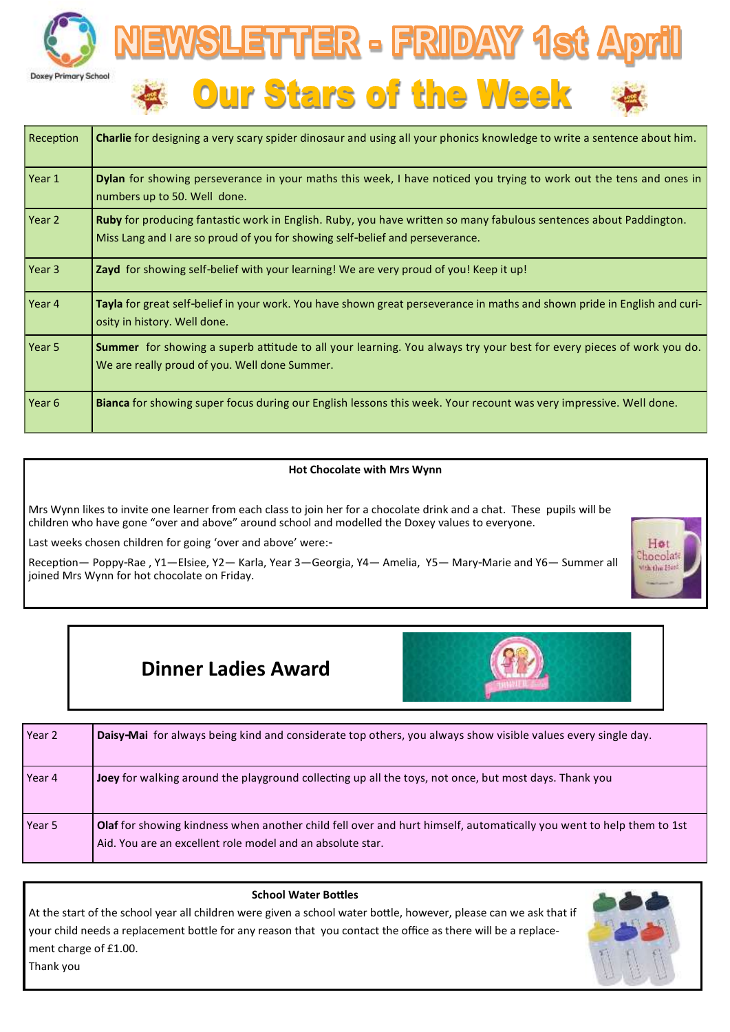



| Reception | <b>Charlie</b> for designing a very scary spider dinosaur and using all your phonics knowledge to write a sentence about him.                                                                      |
|-----------|----------------------------------------------------------------------------------------------------------------------------------------------------------------------------------------------------|
| Year 1    | Dylan for showing perseverance in your maths this week, I have noticed you trying to work out the tens and ones in<br>numbers up to 50. Well done.                                                 |
| Year 2    | Ruby for producing fantastic work in English. Ruby, you have written so many fabulous sentences about Paddington.<br>Miss Lang and I are so proud of you for showing self-belief and perseverance. |
| Year 3    | <b>Zayd</b> for showing self-belief with your learning! We are very proud of you! Keep it up!                                                                                                      |
| Year 4    | Tayla for great self-belief in your work. You have shown great perseverance in maths and shown pride in English and curi-<br>osity in history. Well done.                                          |
| Year 5    | <b>Summer</b> for showing a superb attitude to all your learning. You always try your best for every pieces of work you do.<br>We are really proud of you. Well done Summer.                       |
| Year 6    | Bianca for showing super focus during our English lessons this week. Your recount was very impressive. Well done.                                                                                  |

### **Hot Chocolate with Mrs Wynn**

Mrs Wynn likes to invite one learner from each class to join her for a chocolate drink and a chat. These pupils will be children who have gone "over and above" around school and modelled the Doxey values to everyone.

Last weeks chosen children for going 'over and above' were:-

Reception— Poppy-Rae , Y1—Elsiee, Y2— Karla, Year 3—Georgia, Y4— Amelia, Y5— Mary-Marie and Y6— Summer all joined Mrs Wynn for hot chocolate on Friday.



# **Dinner Ladies Award**

| Year 2 | Daisy-Mai for always being kind and considerate top others, you always show visible values every single day.                                                                             |
|--------|------------------------------------------------------------------------------------------------------------------------------------------------------------------------------------------|
| Year 4 | <b>Joey</b> for walking around the playground collecting up all the toys, not once, but most days. Thank you                                                                             |
| Year 5 | <b>Olaf</b> for showing kindness when another child fell over and hurt himself, automatically you went to help them to 1st<br>Aid. You are an excellent role model and an absolute star. |

| <b>School Water Bottles</b>                                                                                       |  |
|-------------------------------------------------------------------------------------------------------------------|--|
| At the start of the school year all children were given a school water bottle, however, please can we ask that if |  |
| your child needs a replacement bottle for any reason that you contact the office as there will be a replace-      |  |
| ment charge of £1.00.                                                                                             |  |
| Thank you                                                                                                         |  |
|                                                                                                                   |  |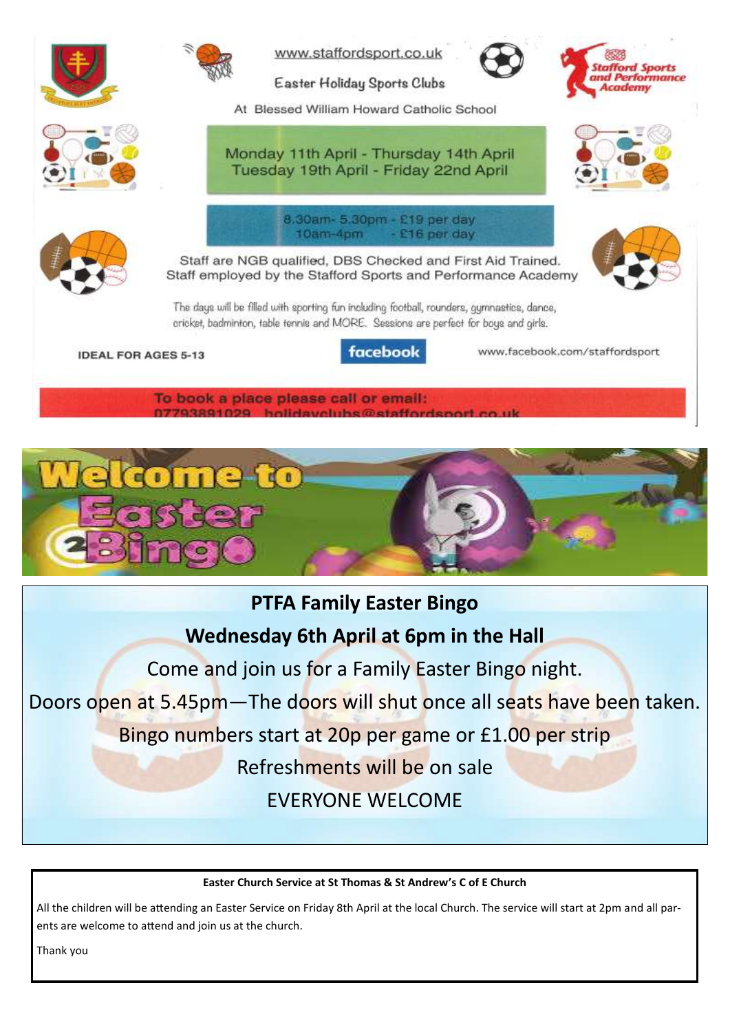

To book a place please call or email: olidayolube@etaffor



# **PTFA Family Easter Bingo**

**Wednesday 6th April at 6pm in the Hall**

Come and join us for a Family Easter Bingo night.

Doors open at 5.45pm—The doors will shut once all seats have been taken.

Bingo numbers start at 20p per game or £1.00 per strip

Refreshments will be on sale

EVERYONE WELCOME

## **Easter Church Service at St Thomas & St Andrew's C of E Church**

All the children will be attending an Easter Service on Friday 8th April at the local Church. The service will start at 2pm and all parents are welcome to attend and join us at the church.

Thank you